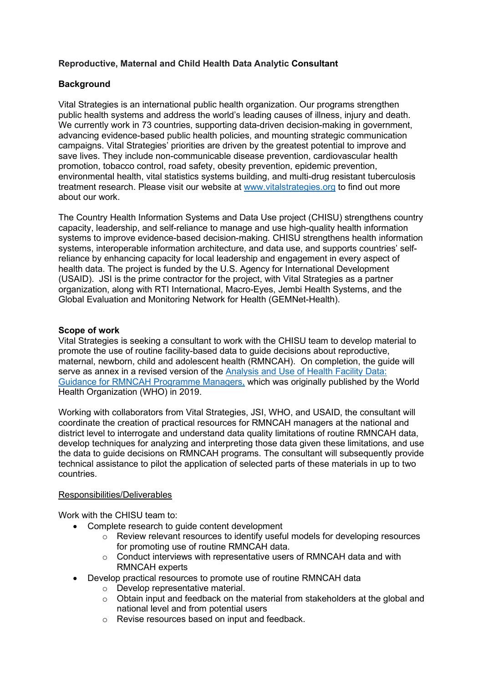# **Reproductive, Maternal and Child Health Data Analytic Consultant**

## **Background**

Vital Strategies is an international public health organization. Our programs strengthen public health systems and address the world's leading causes of illness, injury and death. We currently work in 73 countries, supporting data-driven decision-making in government. advancing evidence-based public health policies, and mounting strategic communication campaigns. Vital Strategies' priorities are driven by the greatest potential to improve and save lives. They include non-communicable disease prevention, cardiovascular health promotion, tobacco control, road safety, obesity prevention, epidemic prevention, environmental health, vital statistics systems building, and multi-drug resistant tuberculosis treatment research. Please visit our website at [www.vitalstrategies.org](http://www.vitalstrategies.org/) to find out more about our work.

The Country Health Information Systems and Data Use project (CHISU) strengthens country capacity, leadership, and self-reliance to manage and use high-quality [health information](https://chisuprogram.org/about/health-information-systems)  [systems](https://chisuprogram.org/about/health-information-systems) to improve evidence-based decision-making. CHISU strengthens health information systems, interoperable information architecture, and data use, and supports countries' selfreliance by enhancing capacity for local leadership and engagement in every aspect of health data. The project is funded by the U.S. Agency for International Development (USAID). JSI is the prime contractor for the project, with Vital Strategies as a partner organization, along with RTI International, Macro-Eyes, Jembi Health Systems, and the Global Evaluation and Monitoring Network for Health (GEMNet-Health).

### **Scope of work**

Vital Strategies is seeking a consultant to work with the CHISU team to develop material to promote the use of routine facility-based data to guide decisions about reproductive, maternal, newborn, child and adolescent health (RMNCAH). On completion, the guide will serve as annex in a revised version of the [Analysis and Use of Health Facility Data:](https://www.who.int/publications/m/item/analysis-and-use-of-health-facility-data-guidance-for-rmncah-programme-managers)  [Guidance for RMNCAH Programme Managers,](https://www.who.int/publications/m/item/analysis-and-use-of-health-facility-data-guidance-for-rmncah-programme-managers) which was originally published by the World Health Organization (WHO) in 2019.

Working with collaborators from Vital Strategies, JSI, WHO, and USAID, the consultant will coordinate the creation of practical resources for RMNCAH managers at the national and district level to interrogate and understand data quality limitations of routine RMNCAH data, develop techniques for analyzing and interpreting those data given these limitations, and use the data to guide decisions on RMNCAH programs. The consultant will subsequently provide technical assistance to pilot the application of selected parts of these materials in up to two countries.

### Responsibilities/Deliverables

Work with the CHISU team to:

- Complete research to quide content development
	- o Review relevant resources to identify useful models for developing resources for promoting use of routine RMNCAH data.
	- o Conduct interviews with representative users of RMNCAH data and with RMNCAH experts
- Develop practical resources to promote use of routine RMNCAH data
	- o Develop representative material.
	- $\circ$  Obtain input and feedback on the material from stakeholders at the global and national level and from potential users
	- o Revise resources based on input and feedback.